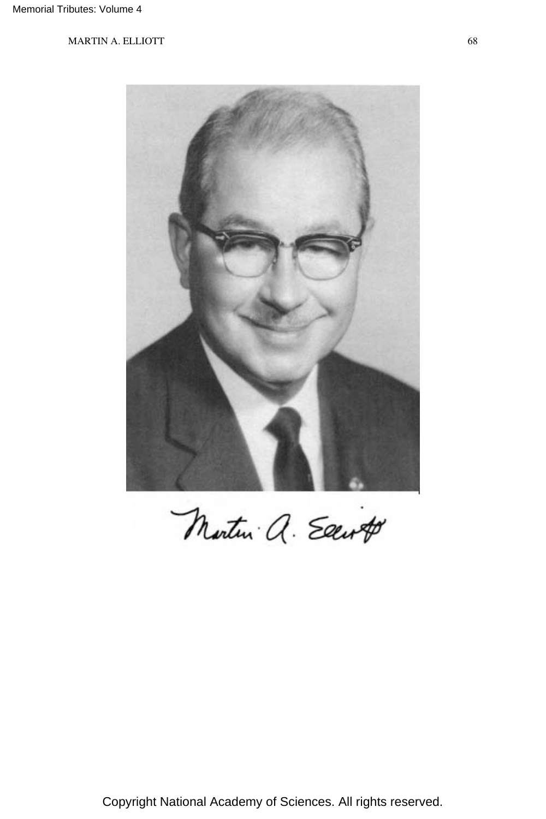

Martin a. Eart

Copyright National Academy of Sciences. All rights reserved.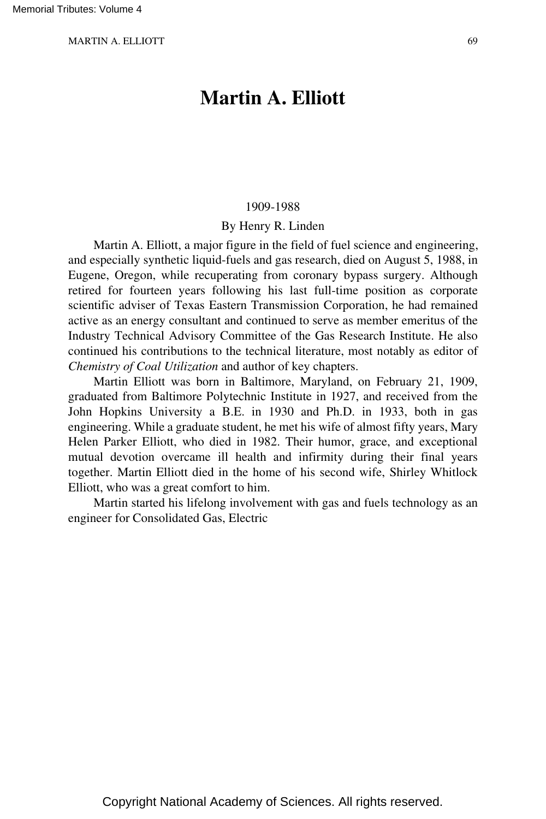# **Martin A. Elliott**

#### 1909-1988

#### By Henry R. Linden

Martin A. Elliott, a major figure in the field of fuel science and engineering, and especially synthetic liquid-fuels and gas research, died on August 5, 1988, in Eugene, Oregon, while recuperating from coronary bypass surgery. Although retired for fourteen years following his last full-time position as corporate scientific adviser of Texas Eastern Transmission Corporation, he had remained active as an energy consultant and continued to serve as member emeritus of the Industry Technical Advisory Committee of the Gas Research Institute. He also continued his contributions to the technical literature, most notably as editor of *Chemistry of Coal Utilization* and author of key chapters.

Martin Elliott was born in Baltimore, Maryland, on February 21, 1909, graduated from Baltimore Polytechnic Institute in 1927, and received from the John Hopkins University a B.E. in 1930 and Ph.D. in 1933, both in gas engineering. While a graduate student, he met his wife of almost fifty years, Mary Helen Parker Elliott, who died in 1982. Their humor, grace, and exceptional mutual devotion overcame ill health and infirmity during their final years together. Martin Elliott died in the home of his second wife, Shirley Whitlock Elliott, who was a great comfort to him.

Martin started his lifelong involvement with gas and fuels technology as an engineer for Consolidated Gas, Electric

Copyright National Academy of Sciences. All rights reserved.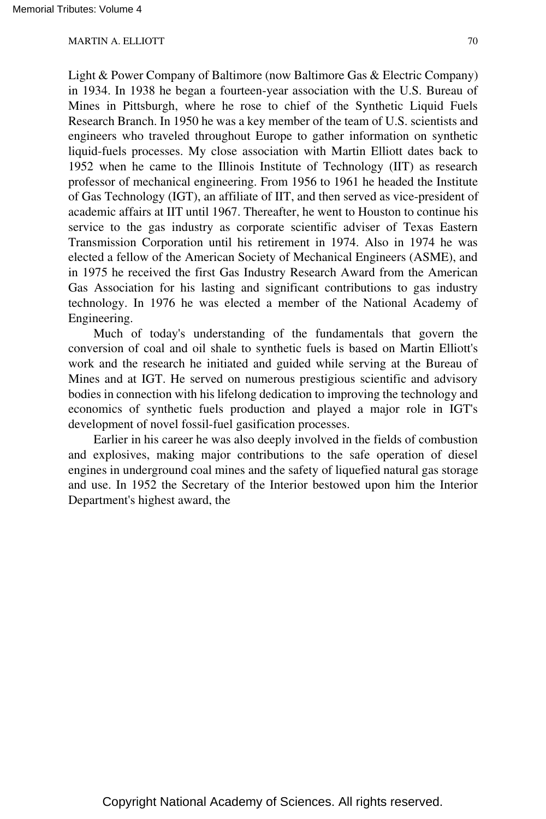Light & Power Company of Baltimore (now Baltimore Gas & Electric Company) in 1934. In 1938 he began a fourteen-year association with the U.S. Bureau of Mines in Pittsburgh, where he rose to chief of the Synthetic Liquid Fuels Research Branch. In 1950 he was a key member of the team of U.S. scientists and engineers who traveled throughout Europe to gather information on synthetic liquid-fuels processes. My close association with Martin Elliott dates back to 1952 when he came to the Illinois Institute of Technology (IIT) as research professor of mechanical engineering. From 1956 to 1961 he headed the Institute of Gas Technology (IGT), an affiliate of IIT, and then served as vice-president of academic affairs at IIT until 1967. Thereafter, he went to Houston to continue his service to the gas industry as corporate scientific adviser of Texas Eastern Transmission Corporation until his retirement in 1974. Also in 1974 he was elected a fellow of the American Society of Mechanical Engineers (ASME), and in 1975 he received the first Gas Industry Research Award from the American Gas Association for his lasting and significant contributions to gas industry technology. In 1976 he was elected a member of the National Academy of Engineering.

Much of today's understanding of the fundamentals that govern the conversion of coal and oil shale to synthetic fuels is based on Martin Elliott's work and the research he initiated and guided while serving at the Bureau of Mines and at IGT. He served on numerous prestigious scientific and advisory bodies in connection with his lifelong dedication to improving the technology and economics of synthetic fuels production and played a major role in IGT's development of novel fossil-fuel gasification processes.

Earlier in his career he was also deeply involved in the fields of combustion and explosives, making major contributions to the safe operation of diesel engines in underground coal mines and the safety of liquefied natural gas storage and use. In 1952 the Secretary of the Interior bestowed upon him the Interior Department's highest award, the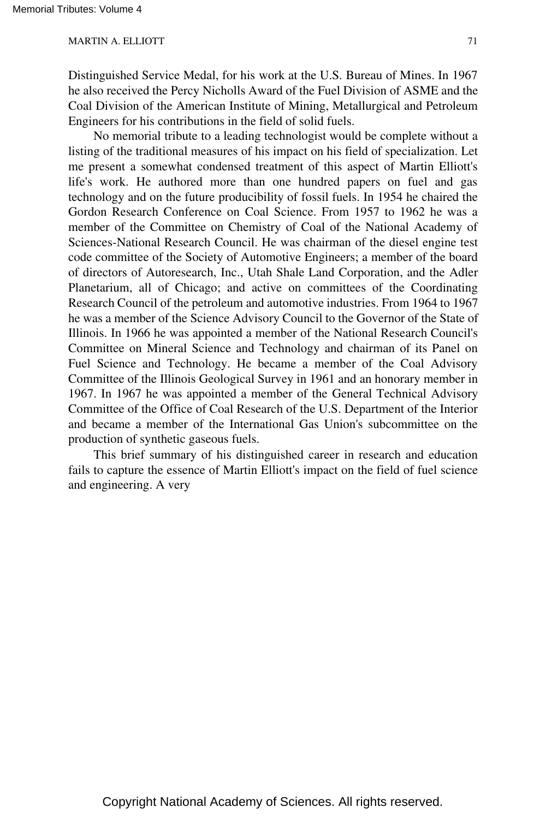Distinguished Service Medal, for his work at the U.S. Bureau of Mines. In 1967 he also received the Percy Nicholls Award of the Fuel Division of ASME and the Coal Division of the American Institute of Mining, Metallurgical and Petroleum Engineers for his contributions in the field of solid fuels.

No memorial tribute to a leading technologist would be complete without a listing of the traditional measures of his impact on his field of specialization. Let me present a somewhat condensed treatment of this aspect of Martin Elliott's life's work. He authored more than one hundred papers on fuel and gas technology and on the future producibility of fossil fuels. In 1954 he chaired the Gordon Research Conference on Coal Science. From 1957 to 1962 he was a member of the Committee on Chemistry of Coal of the National Academy of Sciences-National Research Council. He was chairman of the diesel engine test code committee of the Society of Automotive Engineers; a member of the board of directors of Autoresearch, Inc., Utah Shale Land Corporation, and the Adler Planetarium, all of Chicago; and active on committees of the Coordinating Research Council of the petroleum and automotive industries. From 1964 to 1967 he was a member of the Science Advisory Council to the Governor of the State of Illinois. In 1966 he was appointed a member of the National Research Council's Committee on Mineral Science and Technology and chairman of its Panel on Fuel Science and Technology. He became a member of the Coal Advisory Committee of the Illinois Geological Survey in 1961 and an honorary member in 1967. In 1967 he was appointed a member of the General Technical Advisory Committee of the Office of Coal Research of the U.S. Department of the Interior and became a member of the International Gas Union's subcommittee on the production of synthetic gaseous fuels.

This brief summary of his distinguished career in research and education fails to capture the essence of Martin Elliott's impact on the field of fuel science and engineering. A very